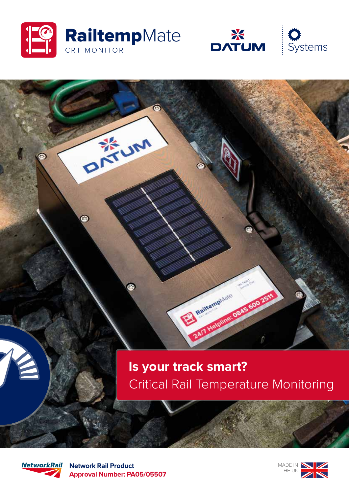

ONTUM

œ

☎



## **Is your track smart?** Critical Rail Temperature Monitoring

Relitempidade



**Network Rail Product Approval Number: PA05/05507**

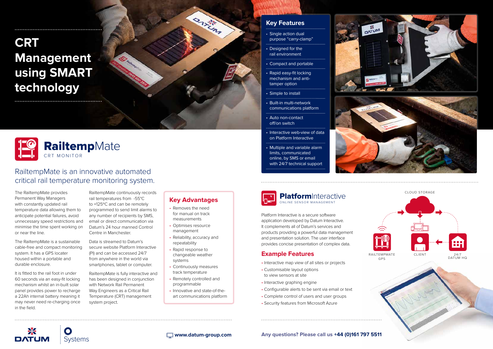Platform Interactive is a secure software application developed by Datum Interactive. It complements all of Datum's services and products providing a powerful data management and presentation solution. The user interface provides concise presentation of complex data.

#### **Example Features**

#### **PlatformInteractive** ONLINE SENSOR MANAGEMENT

- Interactive map view of all sites or projects
- Customisable layout options to view sensors at site
- Interactive graphing engine
- Configurable alerts to be sent via email or text
- Complete control of users and user groups
- Security features from Microsoft Azure

₩ **DATUM** 

**E** www.datum-group.com

#### **Key Features**

- Single action dual purpose "carry-clamp"
- Designed for the rail environment
- Compact and portable
- Rapid easy-fit locking mechanism and antitamper option
- Simple to install
- Built-in multi-network communications platform
- Auto non-contact off/on switch
- Interactive web-view of data on Platform Interactive
- Multiple and variable alarm limits, communicated online, by SMS or email with 24/7 technical support







## RailtempMate is an innovative automated critical rail temperature monitoring system.





The RailtempMate provides Permanent Way Managers with constantly updated rail temperature data allowing them to anticipate potential failures, avoid unnecessary speed restrictions and minimise the time spent working on or near the line.

The RailtempMate is a sustainable cable-free and compact monitoring system. It has a GPS locater housed within a portable and durable enclosure.

It is fitted to the rail foot in under 60 seconds via an easy-fit locking mechanism whilst an in-built solar panel provides power to recharge a 22Ah internal battery meaning it may never need re-charging once in the field.

RailtempMate continuously records rail temperatures from -55°C to +125ºC and can be remotely programmed to send limit alarms to any number of recipients by SMS, email or direct communication via Datum's 24 hour manned Control Centre in Manchester.

Data is streamed to Datum's secure website Platform Interactive (PI) and can be accessed 24/7 from anywhere in the world via smartphones, tablet or computer.

RailtempMate is fully interactive and has been designed in conjunction with Network Rail Permanent Way Engineers as a Critical Rail Temperature (CRT) management system project.

#### **Key Advantages**

**Onzier** 

- Removes the need for manual on track measurements
- Optimises resource management
- Reliability, accuracy and repeatability
- Rapid response to changeable weather systems
- Continuously measures track temperature
- Remotely controlled and programmable
- Innovative and state-of-theart communications platform

# **CRT Management using SMART technology**